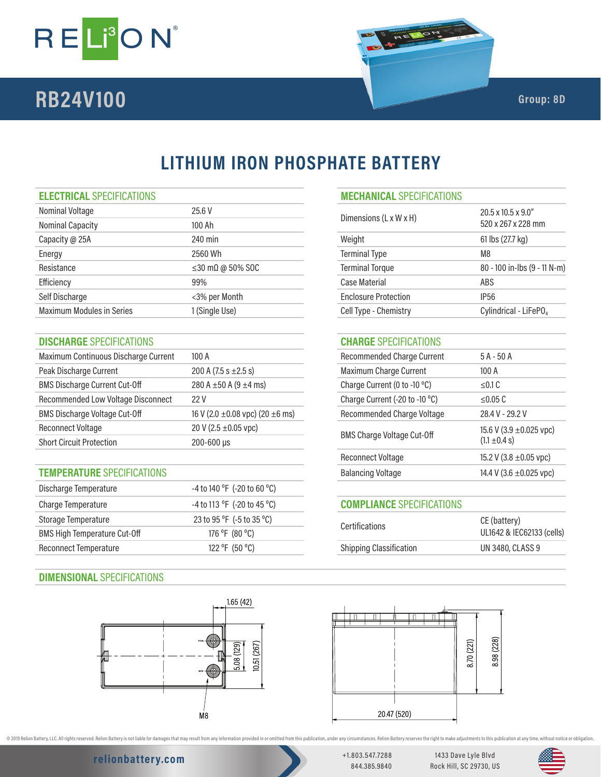

# **RB24V100 Group: 8D Group: 8D**

# **LITHIUM IRON PHOSPHATE BATTERY**

| Nominal Voltage                  | 25.6 V                         | Dimensions (L x W x H)      | $20.5 \times 10.5 \times 9.0$ "   |  |
|----------------------------------|--------------------------------|-----------------------------|-----------------------------------|--|
| <b>Nominal Capacity</b>          | 100 Ah                         |                             | 520 x 267 x 228 mm                |  |
| Capacity @ 25A                   | 240 min                        | Weight                      | 61 lbs (27.7 kg)                  |  |
| Energy                           | 2560 Wh                        | <b>Terminal Type</b>        | M8                                |  |
| Resistance                       | $\leq$ 30 m $\Omega$ @ 50% SOC | <b>Terminal Torque</b>      | 80 - 100 in-lbs (9 - 11 N-m)      |  |
| Efficiency                       | 99%                            | Case Material               | ABS                               |  |
| Self Discharge                   | <3% per Month                  | <b>Enclosure Protection</b> | <b>IP56</b>                       |  |
| <b>Maximum Modules in Series</b> | 1 (Single Use)                 | Cell Type - Chemistry       | Cylindrical - LiFePO <sub>4</sub> |  |
|                                  |                                |                             |                                   |  |

# **DISCHARGE** SPECIFICATIONS **CHARGE** SPECIFICATIONS

| Maximum Continuous Discharge Current                   | 100A                                      | <b>Recommended Charge Current</b> | $5A - 50A$                   |
|--------------------------------------------------------|-------------------------------------------|-----------------------------------|------------------------------|
| Peak Discharge Current                                 | 200 A (7.5 s $\pm$ 2.5 s)                 | Maximum Charge Current            | 100A                         |
| <b>BMS Discharge Current Cut-Off</b>                   | 280 A $\pm$ 50 A (9 $\pm$ 4 ms)           | Charge Current (0 to -10 °C)      | $\leq$ 0.1 C                 |
| <b>Recommended Low Voltage Disconnect</b>              | 22V                                       | Charge Current (-20 to -10 °C)    | $\leq$ 0.05 C                |
| <b>BMS Discharge Voltage Cut-Off</b>                   | 16 V (2.0 $\pm$ 0.08 vpc) (20 $\pm$ 6 ms) | Recommended Charge Voltage        | 28.4 V - 29.2 V              |
| Reconnect Voltage                                      | 20 V (2.5 $\pm$ 0.05 vpc)                 |                                   | 15.6 V (3.9 $\pm$ 0.025 vpc) |
| <b>Short Circuit Protection</b><br>$200 - 600 \,\mu s$ |                                           | <b>BMS Charge Voltage Cut-Off</b> | $(1.1 \pm 0.4 s)$            |

# **TEMPERATURE** SPECIFICATIONS

| Discharge Temperature               | -4 to 140 °F (-20 to 60 °C) |                                  |                           |
|-------------------------------------|-----------------------------|----------------------------------|---------------------------|
| Charge Temperature                  | -4 to 113 °F (-20 to 45 °C) | <b>COMPLIANCE SPECIFICATIONS</b> |                           |
| Storage Temperature                 | 23 to 95 °F (-5 to 35 °C)   | <b>Certifications</b>            | CE (battery)              |
| <b>BMS High Temperature Cut-Off</b> | 176 °F (80 °C)              |                                  | UL1642 & IEC62133 (cells) |
| <b>Reconnect Temperature</b>        | 122 °F (50 °C)              | <b>Shipping Classification</b>   | UN 3480, CLASS 9          |
|                                     |                             |                                  |                           |

# **DIMENSIONAL** SPECIFICATIONS



## **ELECTRICAL** SPECIFICATIONS **MECHANICAL** SPECIFICATIONS

| Dimensions (L x W x H)      | $20.5 \times 10.5 \times 9.0$ "<br>520 x 267 x 228 mm |
|-----------------------------|-------------------------------------------------------|
| Weight                      | 61 lbs (27.7 kg)                                      |
| <b>Terminal Type</b>        | M8                                                    |
| <b>Terminal Torque</b>      | 80 - 100 in-lbs (9 - 11 N-m)                          |
| Case Material               | ABS                                                   |
| <b>Enclosure Protection</b> | IP56                                                  |
| Cell Type - Chemistry       | Cylindrical - LiFePO4                                 |

| Recommended Charge Current        | $5A - 50A$                                        |
|-----------------------------------|---------------------------------------------------|
| Maximum Charge Current            | 100A                                              |
| Charge Current (0 to -10 °C)      | < 0.1 C                                           |
| Charge Current (-20 to -10 °C)    | < 0.05 C                                          |
| Recommended Charge Voltage        | 28.4 V - 29.2 V                                   |
| <b>BMS Charge Voltage Cut-Off</b> | 15.6 V (3.9 $\pm$ 0.025 vpc)<br>$(1.1 \pm 0.4 s)$ |
| <b>Reconnect Voltage</b>          | 15.2 V (3.8 $\pm$ 0.05 vpc)                       |
| <b>Balancing Voltage</b>          | 14.4 V (3.6 $\pm$ 0.025 vpc)                      |
|                                   |                                                   |

# **COMPLIANCE** SPECIFICATIONS

| <b>Certifications</b>          | CE (battery)<br>UL1642 & IEC62133 (cells) |
|--------------------------------|-------------------------------------------|
| <b>Shipping Classification</b> | UN 3480, CLASS 9                          |
|                                |                                           |



@ 2019 Relion Battery, LLC. All rights reserved. Relion Battery is not liable for damages that may result from any information provided in or omitted from this publication, under any orcumstances. Relion Battery reserves t

# **relionbattery.com** +1.803.547.7288

844.385.9840

1433 Dave Lyle Blvd Rock Hill, SC 29730, US